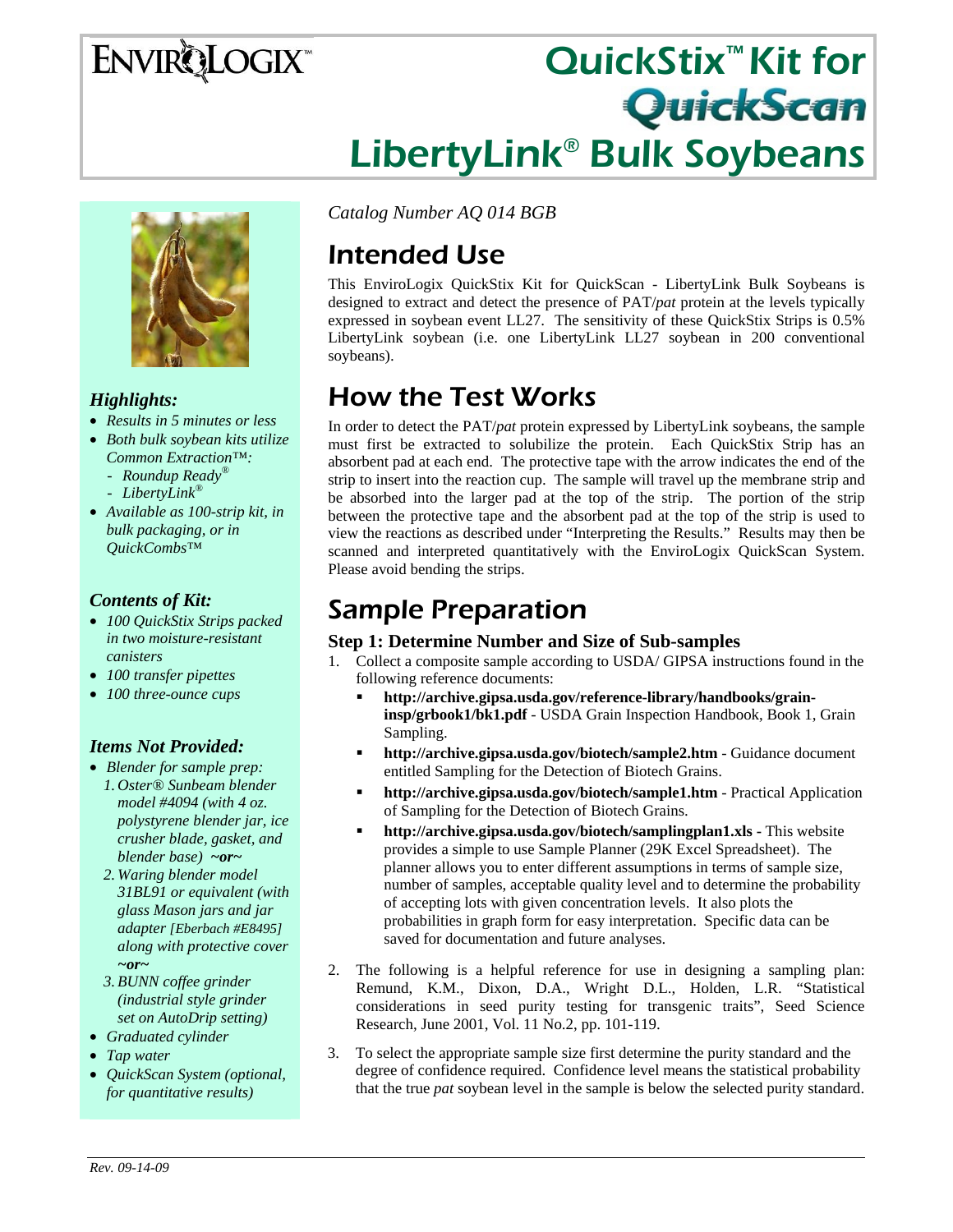# **ENVIRQLOGIX**

## QuickStix<sup>™</sup> Kit for QuickScan LibertyLink® Bulk Soybeans



#### *Highlights:*

- *Results in 5 minutes or less*
- *Both bulk soybean kits utilize Common Extraction™:* 
	- *Roundup Ready®*
	- *LibertyLink®*
- *Available as 100-strip kit, in bulk packaging, or in QuickCombs™*

#### *Contents of Kit:*

- *100 QuickStix Strips packed in two moisture-resistant canisters*
- *100 transfer pipettes*
- *100 three-ounce cups*

#### *Items Not Provided:*

- *Blender for sample prep: 1. Oster® Sunbeam blender model #4094 (with 4 oz. polystyrene blender jar, ice crusher blade, gasket, and* 
	- *blender base) ~or~ 2. Waring blender model 31BL91 or equivalent (with glass Mason jars and jar adapter [Eberbach #E8495] along with protective cover ~or~*
	- *3.BUNN coffee grinder (industrial style grinder set on AutoDrip setting)*
- *Graduated cylinder*
- *Tap water*
- *QuickScan System (optional, for quantitative results)*

*Catalog Number AQ 014 BGB*

### Intended Use

This EnviroLogix QuickStix Kit for QuickScan - LibertyLink Bulk Soybeans is designed to extract and detect the presence of PAT/*pat* protein at the levels typically expressed in soybean event LL27. The sensitivity of these QuickStix Strips is 0.5% LibertyLink soybean (i.e. one LibertyLink LL27 soybean in 200 conventional soybeans).

### How the Test Works

In order to detect the PAT/*pat* protein expressed by LibertyLink soybeans, the sample must first be extracted to solubilize the protein. Each QuickStix Strip has an absorbent pad at each end. The protective tape with the arrow indicates the end of the strip to insert into the reaction cup. The sample will travel up the membrane strip and be absorbed into the larger pad at the top of the strip. The portion of the strip between the protective tape and the absorbent pad at the top of the strip is used to view the reactions as described under "Interpreting the Results." Results may then be scanned and interpreted quantitatively with the EnviroLogix QuickScan System. Please avoid bending the strips.

### Sample Preparation

- **Step 1: Determine Number and Size of Sub-samples**<br>1. Collect a composite sample according to USDA/ GIPSA instructions found in the following reference documents:
	- **http://archive.gipsa.usda.gov/reference-library/handbooks/graininsp/grbook1/bk1.pdf** - USDA Grain Inspection Handbook, Book 1, Grain Sampling.
	- **http://archive.gipsa.usda.gov/biotech/sample2.htm** Guidance document entitled Sampling for the Detection of Biotech Grains.
	- **http://archive.gipsa.usda.gov/biotech/sample1.htm** Practical Application of Sampling for the Detection of Biotech Grains.
	- **http://archive.gipsa.usda.gov/biotech/samplingplan1.xls** This website provides a simple to use Sample Planner (29K Excel Spreadsheet). The planner allows you to enter different assumptions in terms of sample size, number of samples, acceptable quality level and to determine the probability of accepting lots with given concentration levels. It also plots the probabilities in graph form for easy interpretation. Specific data can be saved for documentation and future analyses.
- 2. The following is a helpful reference for use in designing a sampling plan: Remund, K.M., Dixon, D.A., Wright D.L., Holden, L.R. "Statistical considerations in seed purity testing for transgenic traits", Seed Science Research, June 2001, Vol. 11 No.2, pp. 101-119.
- 3. To select the appropriate sample size first determine the purity standard and the degree of confidence required. Confidence level means the statistical probability that the true *pat* soybean level in the sample is below the selected purity standard.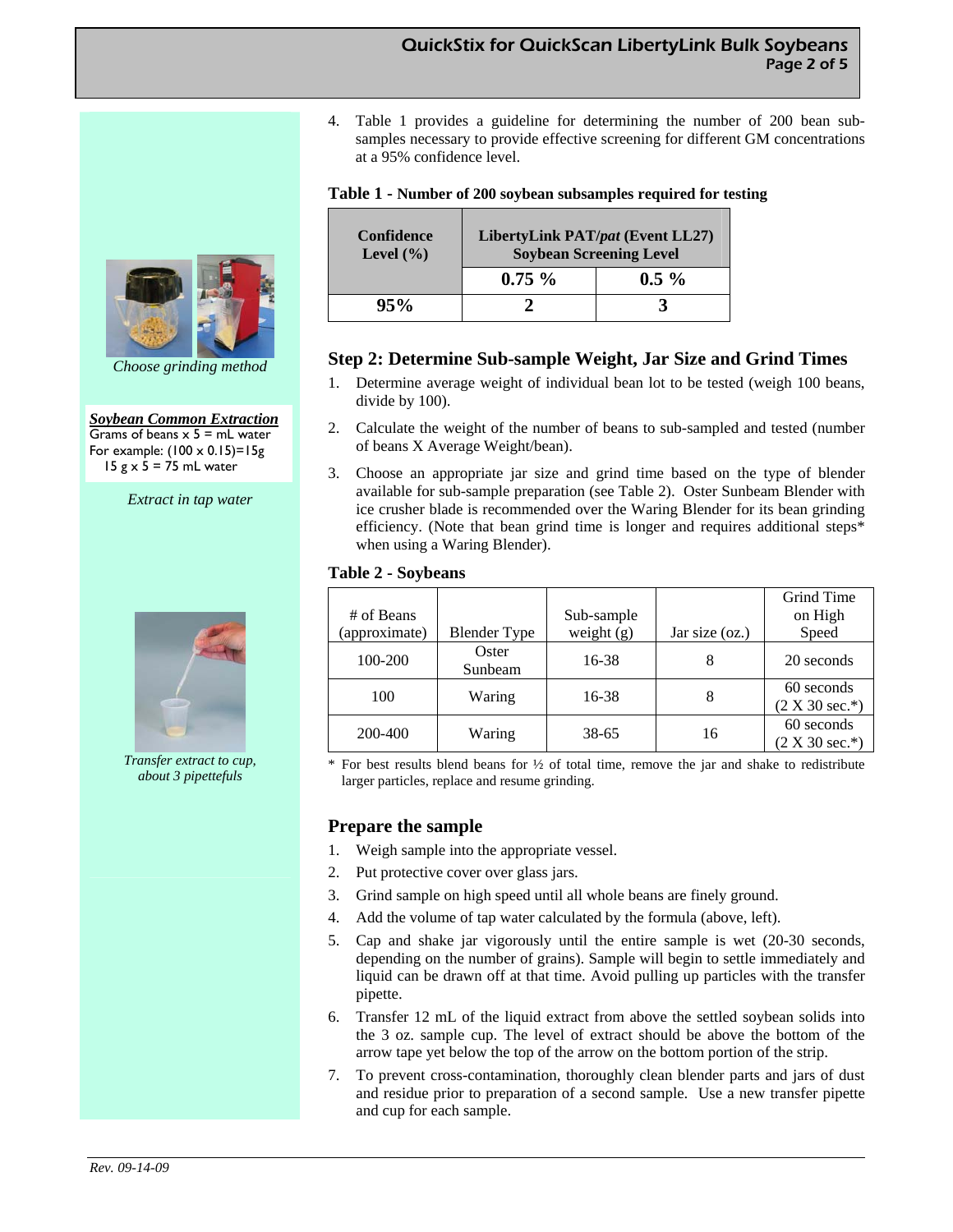4. Table 1 provides a guideline for determining the number of 200 bean subsamples necessary to provide effective screening for different GM concentrations at a 95% confidence level.

|  |  |  |  |  |  |  |  |  |  |  | Table 1 - Number of 200 soybean subsamples required for testing |  |  |  |  |  |
|--|--|--|--|--|--|--|--|--|--|--|-----------------------------------------------------------------|--|--|--|--|--|
|--|--|--|--|--|--|--|--|--|--|--|-----------------------------------------------------------------|--|--|--|--|--|

| <b>Confidence</b><br>Level $(\% )$ | LibertyLink PAT/pat (Event LL27)<br><b>Soybean Screening Level</b> |         |  |  |  |  |
|------------------------------------|--------------------------------------------------------------------|---------|--|--|--|--|
|                                    | $0.75 \%$                                                          | $0.5\%$ |  |  |  |  |
| $95\%$                             |                                                                    |         |  |  |  |  |

#### **Step 2: Determine Sub-sample Weight, Jar Size and Grind Times**

- 1. Determine average weight of individual bean lot to be tested (weigh 100 beans, divide by 100).
- 2. Calculate the weight of the number of beans to sub-sampled and tested (number of beans X Average Weight/bean).
- 3. Choose an appropriate jar size and grind time based on the type of blender available for sub-sample preparation (see Table 2). Oster Sunbeam Blender with ice crusher blade is recommended over the Waring Blender for its bean grinding efficiency. (Note that bean grind time is longer and requires additional steps\* when using a Waring Blender).

#### **Table 2 - Soybeans**

|               |                     |              |                  | Grind Time                     |
|---------------|---------------------|--------------|------------------|--------------------------------|
| # of Beans    |                     | Sub-sample   |                  | on High                        |
| (approximate) | <b>Blender Type</b> | weight $(g)$ | Jar size $(oz.)$ | Speed                          |
| 100-200       | Oster<br>Sunbeam    | $16 - 38$    | 8                | 20 seconds                     |
| 100           | Waring              | 16-38        | 8                | 60 seconds<br>$(2 X 30 sec.*)$ |
| 200-400       | Waring              | 38-65        | 16               | 60 seconds<br>$(2 X 30 sec.*)$ |

For best results blend beans for  $\frac{1}{2}$  of total time, remove the jar and shake to redistribute larger particles, replace and resume grinding.

#### **Prepare the sample**

- 1. Weigh sample into the appropriate vessel.
- 2. Put protective cover over glass jars.
- 3. Grind sample on high speed until all whole beans are finely ground.
- 4. Add the volume of tap water calculated by the formula (above, left).
- 5. Cap and shake jar vigorously until the entire sample is wet (20-30 seconds, depending on the number of grains). Sample will begin to settle immediately and liquid can be drawn off at that time. Avoid pulling up particles with the transfer pipette.
- 6. Transfer 12 mL of the liquid extract from above the settled soybean solids into the 3 oz. sample cup. The level of extract should be above the bottom of the arrow tape yet below the top of the arrow on the bottom portion of the strip.
- 7. To prevent cross-contamination, thoroughly clean blender parts and jars of dust and residue prior to preparation of a second sample. Use a new transfer pipette and cup for each sample.



*Choose grinding method* 

*Soybean Common Extraction* Grams of beans  $x 5 = mL$  water For example:  $(100 \times 0.15)=15g$ 15  $g \times 5 = 75$  mL water

*Extract in tap water* 



*Transfer extract to cup, about 3 pipettefuls*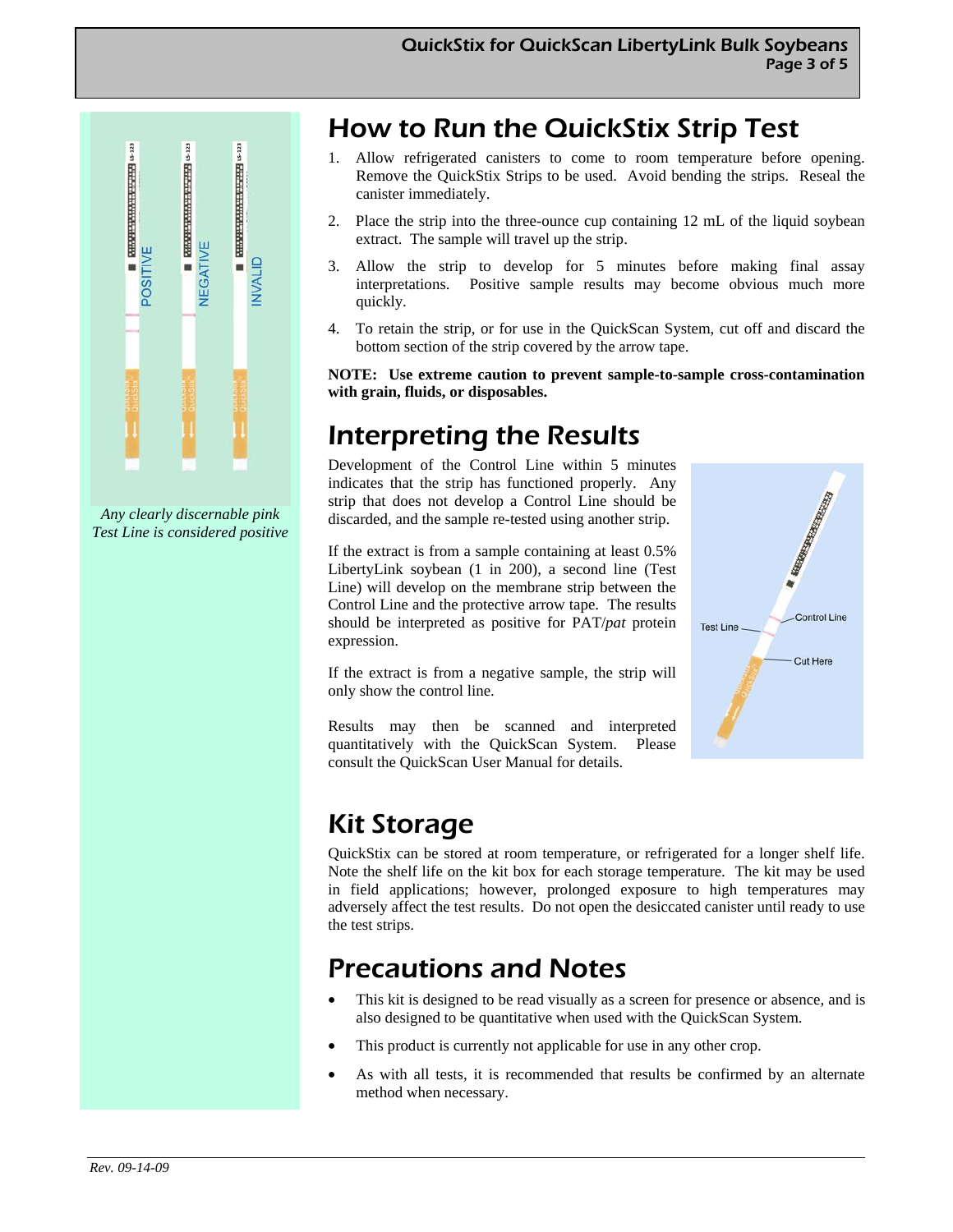

*Any clearly discernable pink Test Line is considered positive* 

### How to Run the QuickStix Strip Test

- 1. Allow refrigerated canisters to come to room temperature before opening. Remove the QuickStix Strips to be used. Avoid bending the strips. Reseal the canister immediately.
- 2. Place the strip into the three-ounce cup containing 12 mL of the liquid soybean extract. The sample will travel up the strip.
- 3. Allow the strip to develop for 5 minutes before making final assay interpretations. Positive sample results may become obvious much more quickly.
- 4. To retain the strip, or for use in the QuickScan System, cut off and discard the bottom section of the strip covered by the arrow tape.

**NOTE: Use extreme caution to prevent sample-to-sample cross-contamination with grain, fluids, or disposables.** 

### Interpreting the Results

Development of the Control Line within 5 minutes indicates that the strip has functioned properly. Any strip that does not develop a Control Line should be discarded, and the sample re-tested using another strip.

If the extract is from a sample containing at least 0.5% LibertyLink soybean (1 in 200), a second line (Test Line) will develop on the membrane strip between the Control Line and the protective arrow tape. The results should be interpreted as positive for PAT/*pat* protein expression.

If the extract is from a negative sample, the strip will only show the control line.

Results may then be scanned and interpreted quantitatively with the QuickScan System. Please consult the QuickScan User Manual for details.



## Kit Storage

QuickStix can be stored at room temperature, or refrigerated for a longer shelf life. Note the shelf life on the kit box for each storage temperature. The kit may be used in field applications; however, prolonged exposure to high temperatures may adversely affect the test results. Do not open the desiccated canister until ready to use the test strips.

### Precautions and Notes

- This kit is designed to be read visually as a screen for presence or absence, and is also designed to be quantitative when used with the QuickScan System.
- This product is currently not applicable for use in any other crop.
- As with all tests, it is recommended that results be confirmed by an alternate method when necessary.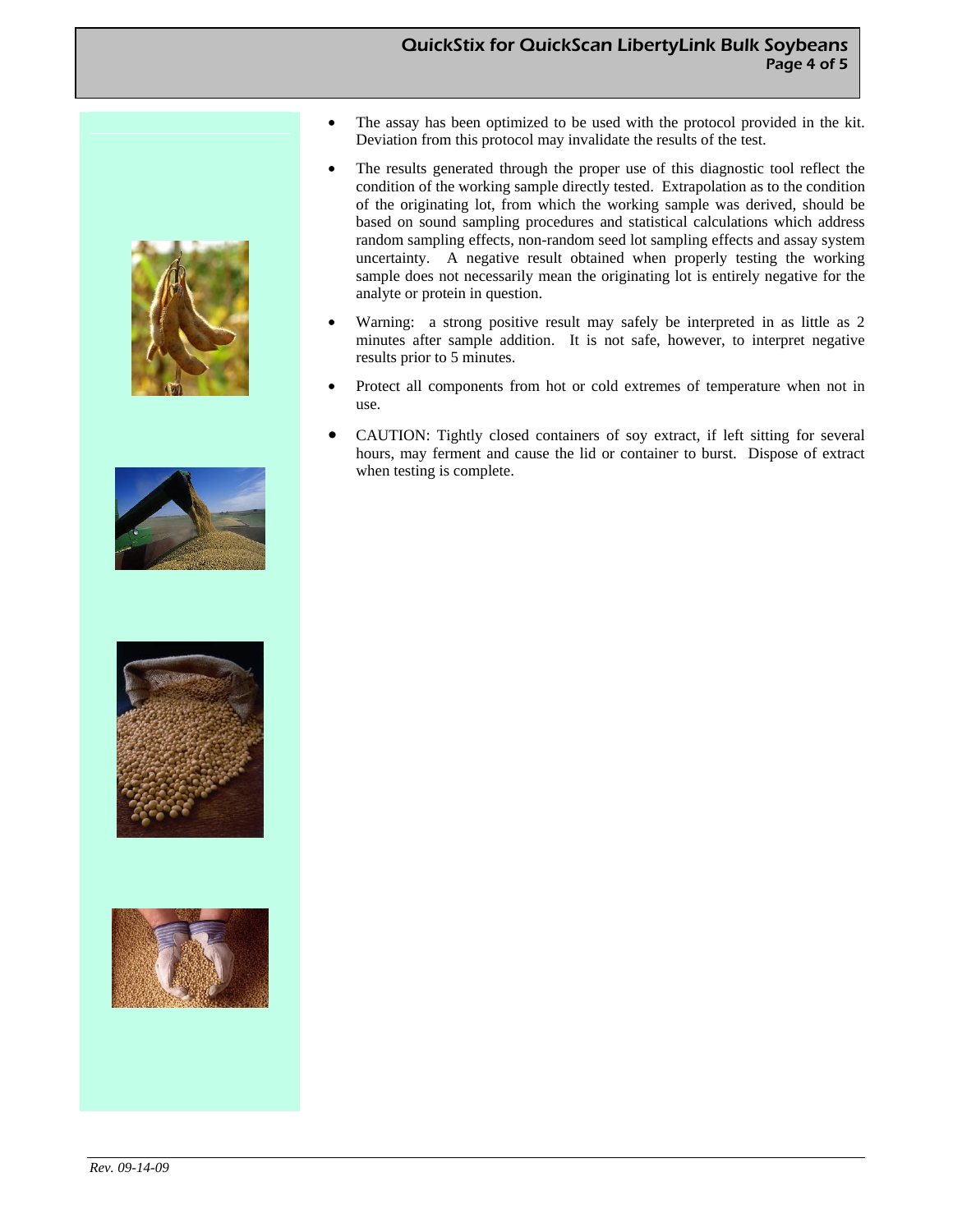#### QuickStix for QuickScan LibertyLink Bulk Soybeans Page 4 of 5









- The assay has been optimized to be used with the protocol provided in the kit. Deviation from this protocol may invalidate the results of the test.
- The results generated through the proper use of this diagnostic tool reflect the condition of the working sample directly tested. Extrapolation as to the condition of the originating lot, from which the working sample was derived, should be based on sound sampling procedures and statistical calculations which address random sampling effects, non-random seed lot sampling effects and assay system uncertainty. A negative result obtained when properly testing the working sample does not necessarily mean the originating lot is entirely negative for the analyte or protein in question.
- Warning: a strong positive result may safely be interpreted in as little as 2 minutes after sample addition. It is not safe, however, to interpret negative results prior to 5 minutes.
- Protect all components from hot or cold extremes of temperature when not in use.
- CAUTION: Tightly closed containers of soy extract, if left sitting for several hours, may ferment and cause the lid or container to burst. Dispose of extract when testing is complete.